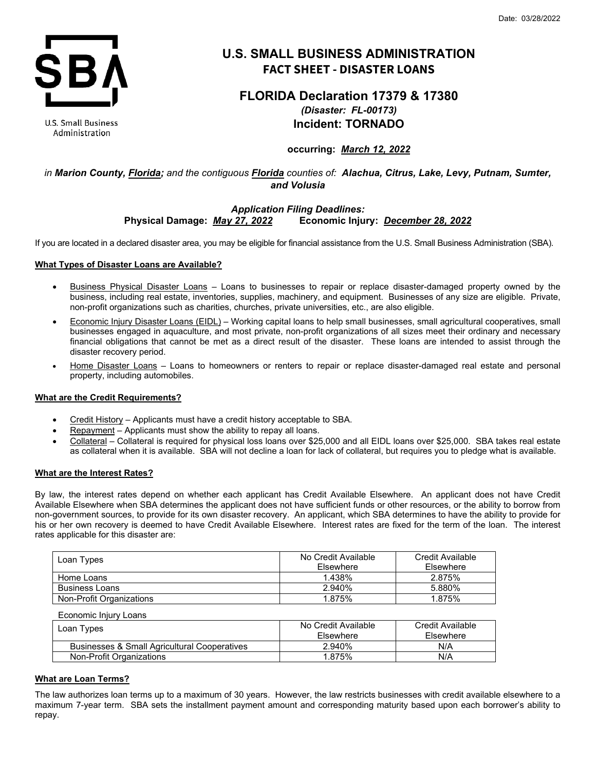

**U.S. Small Business** Administration

# **U.S. SMALL BUSINESS ADMINISTRATION FACT SHEET - DISASTER LOANS**

# **FLORIDA Declaration 17379 & 17380** *(Disaster: FL-00173)* **Incident: TORNADO**

## **occurring:** *March 12, 2022*

# *in Marion County, Florida; and the contiguous Florida counties of: Alachua, Citrus, Lake, Levy, Putnam, Sumter, and Volusia*

## *Application Filing Deadlines:* **Physical Damage:** *May 27, 2022* **Economic Injury:** *December 28, 2022*

If you are located in a declared disaster area, you may be eligible for financial assistance from the U.S. Small Business Administration (SBA).

## **What Types of Disaster Loans are Available?**

- Business Physical Disaster Loans Loans to businesses to repair or replace disaster-damaged property owned by the business, including real estate, inventories, supplies, machinery, and equipment. Businesses of any size are eligible. Private, non-profit organizations such as charities, churches, private universities, etc., are also eligible.
- Economic Injury Disaster Loans (EIDL) Working capital loans to help small businesses, small agricultural cooperatives, small businesses engaged in aquaculture, and most private, non-profit organizations of all sizes meet their ordinary and necessary financial obligations that cannot be met as a direct result of the disaster. These loans are intended to assist through the disaster recovery period.
- Home Disaster Loans Loans to homeowners or renters to repair or replace disaster-damaged real estate and personal property, including automobiles.

## **What are the Credit Requirements?**

- Credit History Applicants must have a credit history acceptable to SBA.
- Repayment Applicants must show the ability to repay all loans.
- Collateral Collateral is required for physical loss loans over \$25,000 and all EIDL loans over \$25,000. SBA takes real estate as collateral when it is available. SBA will not decline a loan for lack of collateral, but requires you to pledge what is available.

## **What are the Interest Rates?**

By law, the interest rates depend on whether each applicant has Credit Available Elsewhere. An applicant does not have Credit Available Elsewhere when SBA determines the applicant does not have sufficient funds or other resources, or the ability to borrow from non-government sources, to provide for its own disaster recovery. An applicant, which SBA determines to have the ability to provide for his or her own recovery is deemed to have Credit Available Elsewhere. Interest rates are fixed for the term of the loan. The interest rates applicable for this disaster are:

| Loan Types               | No Credit Available<br>Elsewhere | Credit Available<br>Elsewhere |
|--------------------------|----------------------------------|-------------------------------|
| Home Loans               | 1.438%                           | 2.875%                        |
| <b>Business Loans</b>    | 2.940%                           | 5.880%                        |
| Non-Profit Organizations | 1.875%                           | 1.875%                        |

Economic Injury Loans

| Loan Types                                   | No Credit Available<br>Elsewhere | Credit Available<br>Elsewhere |
|----------------------------------------------|----------------------------------|-------------------------------|
| Businesses & Small Agricultural Cooperatives | 2.940%                           | N/A                           |
| Non-Profit Organizations                     | 1.875%                           | N/A                           |

## **What are Loan Terms?**

The law authorizes loan terms up to a maximum of 30 years. However, the law restricts businesses with credit available elsewhere to a maximum 7-year term. SBA sets the installment payment amount and corresponding maturity based upon each borrower's ability to repay.